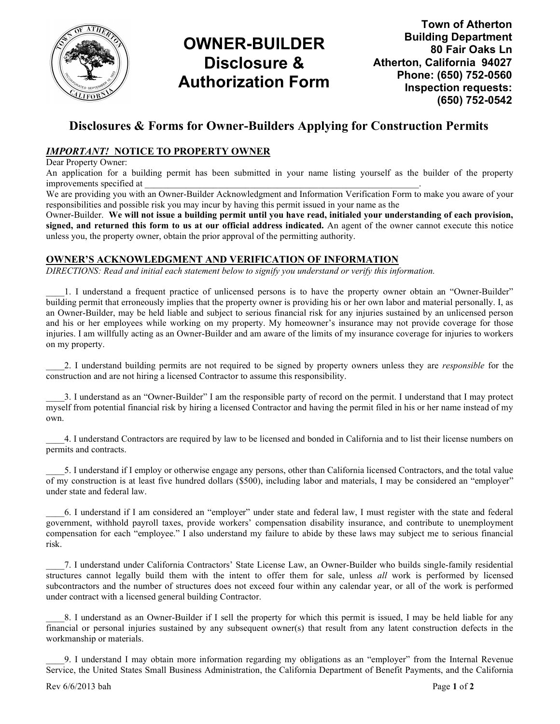

# OWNER-BUILDER Disclosure & Authorization Form

Town of Atherton Building Department 80 Fair Oaks Ln Atherton, California 94027 Phone: (650) 752-0560 Inspection requests: (650) 752-0542

### Disclosures & Forms for Owner-Builders Applying for Construction Permits

### IMPORTANT! NOTICE TO PROPERTY OWNER

Dear Property Owner:

An application for a building permit has been submitted in your name listing yourself as the builder of the property improvements specified at

We are providing you with an Owner-Builder Acknowledgment and Information Verification Form to make you aware of your responsibilities and possible risk you may incur by having this permit issued in your name as the

Owner-Builder. We will not issue a building permit until you have read, initialed your understanding of each provision, signed, and returned this form to us at our official address indicated. An agent of the owner cannot execute this notice unless you, the property owner, obtain the prior approval of the permitting authority.

#### OWNER'S ACKNOWLEDGMENT AND VERIFICATION OF INFORMATION

DIRECTIONS: Read and initial each statement below to signify you understand or verify this information.

\_\_\_\_1. I understand a frequent practice of unlicensed persons is to have the property owner obtain an "Owner-Builder" building permit that erroneously implies that the property owner is providing his or her own labor and material personally. I, as an Owner-Builder, may be held liable and subject to serious financial risk for any injuries sustained by an unlicensed person and his or her employees while working on my property. My homeowner's insurance may not provide coverage for those injuries. I am willfully acting as an Owner-Builder and am aware of the limits of my insurance coverage for injuries to workers on my property.

2. I understand building permits are not required to be signed by property owners unless they are *responsible* for the construction and are not hiring a licensed Contractor to assume this responsibility.

\_\_\_\_3. I understand as an "Owner-Builder" I am the responsible party of record on the permit. I understand that I may protect myself from potential financial risk by hiring a licensed Contractor and having the permit filed in his or her name instead of my own.

\_\_\_\_4. I understand Contractors are required by law to be licensed and bonded in California and to list their license numbers on permits and contracts.

\_\_\_\_5. I understand if I employ or otherwise engage any persons, other than California licensed Contractors, and the total value of my construction is at least five hundred dollars (\$500), including labor and materials, I may be considered an "employer" under state and federal law.

\_\_\_\_6. I understand if I am considered an "employer" under state and federal law, I must register with the state and federal government, withhold payroll taxes, provide workers' compensation disability insurance, and contribute to unemployment compensation for each "employee." I also understand my failure to abide by these laws may subject me to serious financial risk.

\_\_\_\_7. I understand under California Contractors' State License Law, an Owner-Builder who builds single-family residential structures cannot legally build them with the intent to offer them for sale, unless all work is performed by licensed subcontractors and the number of structures does not exceed four within any calendar year, or all of the work is performed under contract with a licensed general building Contractor.

\_\_\_\_8. I understand as an Owner-Builder if I sell the property for which this permit is issued, I may be held liable for any financial or personal injuries sustained by any subsequent owner(s) that result from any latent construction defects in the workmanship or materials.

\_\_\_\_9. I understand I may obtain more information regarding my obligations as an "employer" from the Internal Revenue Service, the United States Small Business Administration, the California Department of Benefit Payments, and the California